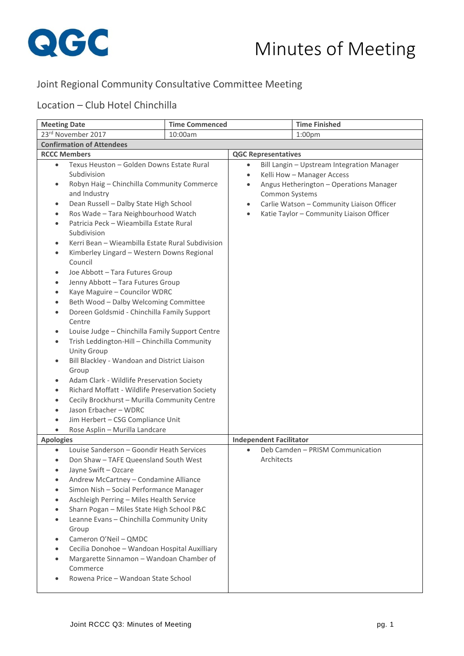

## Joint Regional Community Consultative Committee Meeting

## Location – Club Hotel Chinchilla

| <b>Meeting Date</b>                                                                                                                                                                                                                                                                                                                                                                                                                                                                                                                                                                                                                                                                                                                                                                                                                                                                                                                                                                                                                                                                                                                | <b>Time Commenced</b> |                                                                                                                                                                                                                                                                                                        | <b>Time Finished</b>             |  |
|------------------------------------------------------------------------------------------------------------------------------------------------------------------------------------------------------------------------------------------------------------------------------------------------------------------------------------------------------------------------------------------------------------------------------------------------------------------------------------------------------------------------------------------------------------------------------------------------------------------------------------------------------------------------------------------------------------------------------------------------------------------------------------------------------------------------------------------------------------------------------------------------------------------------------------------------------------------------------------------------------------------------------------------------------------------------------------------------------------------------------------|-----------------------|--------------------------------------------------------------------------------------------------------------------------------------------------------------------------------------------------------------------------------------------------------------------------------------------------------|----------------------------------|--|
| 23rd November 2017<br>10:00am                                                                                                                                                                                                                                                                                                                                                                                                                                                                                                                                                                                                                                                                                                                                                                                                                                                                                                                                                                                                                                                                                                      |                       |                                                                                                                                                                                                                                                                                                        | 1:00 <sub>pm</sub>               |  |
| <b>Confirmation of Attendees</b>                                                                                                                                                                                                                                                                                                                                                                                                                                                                                                                                                                                                                                                                                                                                                                                                                                                                                                                                                                                                                                                                                                   |                       |                                                                                                                                                                                                                                                                                                        |                                  |  |
| <b>RCCC Members</b>                                                                                                                                                                                                                                                                                                                                                                                                                                                                                                                                                                                                                                                                                                                                                                                                                                                                                                                                                                                                                                                                                                                |                       | <b>QGC Representatives</b>                                                                                                                                                                                                                                                                             |                                  |  |
| Texus Heuston - Golden Downs Estate Rural<br>$\bullet$<br>Subdivision<br>Robyn Haig - Chinchilla Community Commerce<br>٠<br>and Industry<br>Dean Russell - Dalby State High School<br>٠<br>Ros Wade - Tara Neighbourhood Watch<br>$\bullet$<br>Patricia Peck - Wieambilla Estate Rural<br>$\bullet$<br>Subdivision<br>Kerri Bean - Wieambilla Estate Rural Subdivision<br>٠<br>Kimberley Lingard - Western Downs Regional<br>$\bullet$<br>Council<br>Joe Abbott - Tara Futures Group<br>٠<br>Jenny Abbott - Tara Futures Group<br>٠<br>Kaye Maguire - Councilor WDRC<br>٠<br>Beth Wood - Dalby Welcoming Committee<br>Doreen Goldsmid - Chinchilla Family Support<br>$\bullet$<br>Centre<br>Louise Judge - Chinchilla Family Support Centre<br>$\bullet$<br>Trish Leddington-Hill - Chinchilla Community<br>٠<br><b>Unity Group</b><br>Bill Blackley - Wandoan and District Liaison<br>Group<br>Adam Clark - Wildlife Preservation Society<br>٠<br>Richard Moffatt - Wildlife Preservation Society<br>$\bullet$<br>Cecily Brockhurst - Murilla Community Centre<br>٠<br>Jason Erbacher - WDRC<br>Jim Herbert - CSG Compliance Unit |                       | Bill Langin - Upstream Integration Manager<br>$\bullet$<br>Kelli How - Manager Access<br>$\bullet$<br>Angus Hetherington - Operations Manager<br>$\bullet$<br><b>Common Systems</b><br>Carlie Watson - Community Liaison Officer<br>$\bullet$<br>Katie Taylor - Community Liaison Officer<br>$\bullet$ |                                  |  |
| <b>Apologies</b>                                                                                                                                                                                                                                                                                                                                                                                                                                                                                                                                                                                                                                                                                                                                                                                                                                                                                                                                                                                                                                                                                                                   |                       | <b>Independent Facilitator</b>                                                                                                                                                                                                                                                                         |                                  |  |
| Louise Sanderson - Goondir Heath Services<br>Don Shaw - TAFE Queensland South West<br>$\bullet$<br>Jayne Swift - Ozcare<br>Andrew McCartney - Condamine Alliance<br>Simon Nish - Social Performance Manager<br>Aschleigh Perring - Miles Health Service<br>$\bullet$<br>Sharn Pogan - Miles State High School P&C<br>Leanne Evans - Chinchilla Community Unity<br>Group<br>Cameron O'Neil - QMDC<br>Cecilia Donohoe - Wandoan Hospital Auxilliary<br>Margarette Sinnamon - Wandoan Chamber of<br>Commerce<br>Rowena Price - Wandoan State School                                                                                                                                                                                                                                                                                                                                                                                                                                                                                                                                                                                   |                       | Architects                                                                                                                                                                                                                                                                                             | Deb Camden - PRISM Communication |  |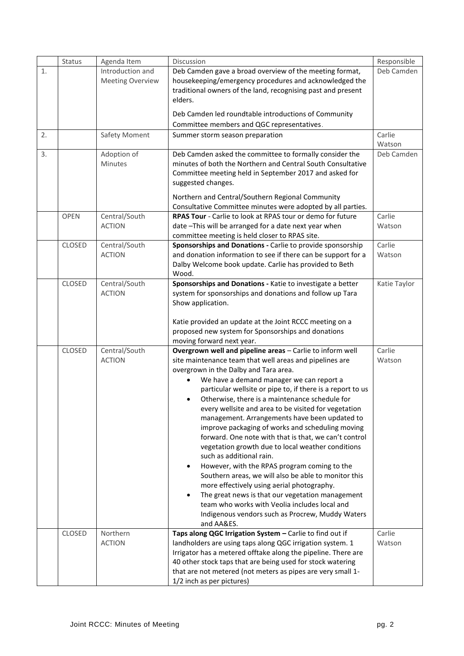|    | Status        | Agenda Item                    | Discussion                                                                                                           | Responsible      |
|----|---------------|--------------------------------|----------------------------------------------------------------------------------------------------------------------|------------------|
| 1. |               | Introduction and               | Deb Camden gave a broad overview of the meeting format,                                                              | Deb Camden       |
|    |               | <b>Meeting Overview</b>        | housekeeping/emergency procedures and acknowledged the                                                               |                  |
|    |               |                                | traditional owners of the land, recognising past and present                                                         |                  |
|    |               |                                | elders.                                                                                                              |                  |
|    |               |                                | Deb Camden led roundtable introductions of Community                                                                 |                  |
|    |               |                                | Committee members and QGC representatives.                                                                           |                  |
| 2. |               | Safety Moment                  | Summer storm season preparation                                                                                      | Carlie           |
|    |               |                                |                                                                                                                      | Watson           |
| 3. |               | Adoption of                    | Deb Camden asked the committee to formally consider the                                                              | Deb Camden       |
|    |               | Minutes                        | minutes of both the Northern and Central South Consultative                                                          |                  |
|    |               |                                | Committee meeting held in September 2017 and asked for                                                               |                  |
|    |               |                                | suggested changes.                                                                                                   |                  |
|    |               |                                | Northern and Central/Southern Regional Community                                                                     |                  |
|    |               |                                | Consultative Committee minutes were adopted by all parties.                                                          |                  |
|    | <b>OPEN</b>   | Central/South                  | <b>RPAS Tour</b> - Carlie to look at RPAS tour or demo for future                                                    | Carlie           |
|    |               | <b>ACTION</b>                  | date -This will be arranged for a date next year when                                                                | Watson           |
|    | CLOSED        | Central/South                  | committee meeting is held closer to RPAS site.<br>Sponsorships and Donations - Carlie to provide sponsorship         | Carlie           |
|    |               | <b>ACTION</b>                  | and donation information to see if there can be support for a                                                        | Watson           |
|    |               |                                | Dalby Welcome book update. Carlie has provided to Beth                                                               |                  |
|    |               |                                | Wood.                                                                                                                |                  |
|    | <b>CLOSED</b> | Central/South                  | Sponsorships and Donations - Katie to investigate a better                                                           | Katie Taylor     |
|    |               | <b>ACTION</b>                  | system for sponsorships and donations and follow up Tara                                                             |                  |
|    |               |                                | Show application.                                                                                                    |                  |
|    |               |                                |                                                                                                                      |                  |
|    |               |                                | Katie provided an update at the Joint RCCC meeting on a                                                              |                  |
|    |               |                                | proposed new system for Sponsorships and donations                                                                   |                  |
|    |               |                                | moving forward next year.                                                                                            |                  |
|    | <b>CLOSED</b> | Central/South<br><b>ACTION</b> | Overgrown well and pipeline areas - Carlie to inform well<br>site maintenance team that well areas and pipelines are | Carlie<br>Watson |
|    |               |                                | overgrown in the Dalby and Tara area.                                                                                |                  |
|    |               |                                | We have a demand manager we can report a<br>$\bullet$                                                                |                  |
|    |               |                                | particular wellsite or pipe to, if there is a report to us                                                           |                  |
|    |               |                                | Otherwise, there is a maintenance schedule for<br>$\bullet$                                                          |                  |
|    |               |                                | every wellsite and area to be visited for vegetation                                                                 |                  |
|    |               |                                | management. Arrangements have been updated to                                                                        |                  |
|    |               |                                | improve packaging of works and scheduling moving                                                                     |                  |
|    |               |                                | forward. One note with that is that, we can't control                                                                |                  |
|    |               |                                | vegetation growth due to local weather conditions                                                                    |                  |
|    |               |                                | such as additional rain.                                                                                             |                  |
|    |               |                                | However, with the RPAS program coming to the<br>$\bullet$                                                            |                  |
|    |               |                                | Southern areas, we will also be able to monitor this                                                                 |                  |
|    |               |                                | more effectively using aerial photography.                                                                           |                  |
|    |               |                                | The great news is that our vegetation management<br>$\bullet$<br>team who works with Veolia includes local and       |                  |
|    |               |                                | Indigenous vendors such as Procrew, Muddy Waters                                                                     |                  |
|    |               |                                | and AA&ES.                                                                                                           |                  |
|    | <b>CLOSED</b> | Northern                       | Taps along QGC Irrigation System - Carlie to find out if                                                             | Carlie           |
|    |               | <b>ACTION</b>                  | landholders are using taps along QGC irrigation system. 1                                                            | Watson           |
|    |               |                                | Irrigator has a metered offtake along the pipeline. There are                                                        |                  |
|    |               |                                | 40 other stock taps that are being used for stock watering                                                           |                  |
|    |               |                                | that are not metered (not meters as pipes are very small 1-                                                          |                  |
|    |               |                                | 1/2 inch as per pictures)                                                                                            |                  |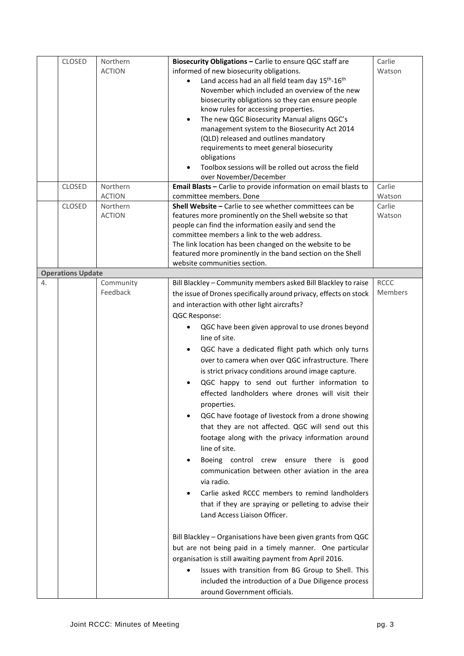|    | CLOSED                   | Northern<br><b>ACTION</b> | Biosecurity Obligations - Carlie to ensure QGC staff are<br>informed of new biosecurity obligations.<br>Land access had an all field team day 15 <sup>th</sup> -16 <sup>th</sup><br>November which included an overview of the new<br>biosecurity obligations so they can ensure people<br>know rules for accessing properties.<br>The new QGC Biosecurity Manual aligns QGC's<br>$\bullet$<br>management system to the Biosecurity Act 2014<br>(QLD) released and outlines mandatory<br>requirements to meet general biosecurity<br>obligations<br>Toolbox sessions will be rolled out across the field<br>over November/December                                                                                                                                                                                                                                                                                                                                                                                                                                                                                                                                                                                                                                                                                                                                | Carlie<br>Watson              |
|----|--------------------------|---------------------------|-------------------------------------------------------------------------------------------------------------------------------------------------------------------------------------------------------------------------------------------------------------------------------------------------------------------------------------------------------------------------------------------------------------------------------------------------------------------------------------------------------------------------------------------------------------------------------------------------------------------------------------------------------------------------------------------------------------------------------------------------------------------------------------------------------------------------------------------------------------------------------------------------------------------------------------------------------------------------------------------------------------------------------------------------------------------------------------------------------------------------------------------------------------------------------------------------------------------------------------------------------------------------------------------------------------------------------------------------------------------|-------------------------------|
|    | <b>CLOSED</b>            | Northern                  | Email Blasts - Carlie to provide information on email blasts to                                                                                                                                                                                                                                                                                                                                                                                                                                                                                                                                                                                                                                                                                                                                                                                                                                                                                                                                                                                                                                                                                                                                                                                                                                                                                                   | Carlie                        |
|    |                          | <b>ACTION</b>             | committee members. Done                                                                                                                                                                                                                                                                                                                                                                                                                                                                                                                                                                                                                                                                                                                                                                                                                                                                                                                                                                                                                                                                                                                                                                                                                                                                                                                                           | Watson                        |
|    | <b>CLOSED</b>            | Northern<br><b>ACTION</b> | Shell Website - Carlie to see whether committees can be<br>features more prominently on the Shell website so that<br>people can find the information easily and send the<br>committee members a link to the web address.<br>The link location has been changed on the website to be<br>featured more prominently in the band section on the Shell<br>website communities section.                                                                                                                                                                                                                                                                                                                                                                                                                                                                                                                                                                                                                                                                                                                                                                                                                                                                                                                                                                                 | Carlie<br>Watson              |
|    | <b>Operations Update</b> |                           |                                                                                                                                                                                                                                                                                                                                                                                                                                                                                                                                                                                                                                                                                                                                                                                                                                                                                                                                                                                                                                                                                                                                                                                                                                                                                                                                                                   |                               |
| 4. |                          | Community<br>Feedback     | Bill Blackley - Community members asked Bill Blackley to raise<br>the issue of Drones specifically around privacy, effects on stock<br>and interaction with other light aircrafts?<br>QGC Response:<br>QGC have been given approval to use drones beyond<br>line of site.<br>QGC have a dedicated flight path which only turns<br>over to camera when over QGC infrastructure. There<br>is strict privacy conditions around image capture.<br>QGC happy to send out further information to<br>effected landholders where drones will visit their<br>properties.<br>QGC have footage of livestock from a drone showing<br>that they are not affected. QGC will send out this<br>footage along with the privacy information around<br>line of site.<br>Boeing control crew ensure there is good<br>$\bullet$<br>communication between other aviation in the area<br>via radio.<br>Carlie asked RCCC members to remind landholders<br>that if they are spraying or pelleting to advise their<br>Land Access Liaison Officer.<br>Bill Blackley - Organisations have been given grants from QGC<br>but are not being paid in a timely manner. One particular<br>organisation is still awaiting payment from April 2016.<br>Issues with transition from BG Group to Shell. This<br>included the introduction of a Due Diligence process<br>around Government officials. | <b>RCCC</b><br><b>Members</b> |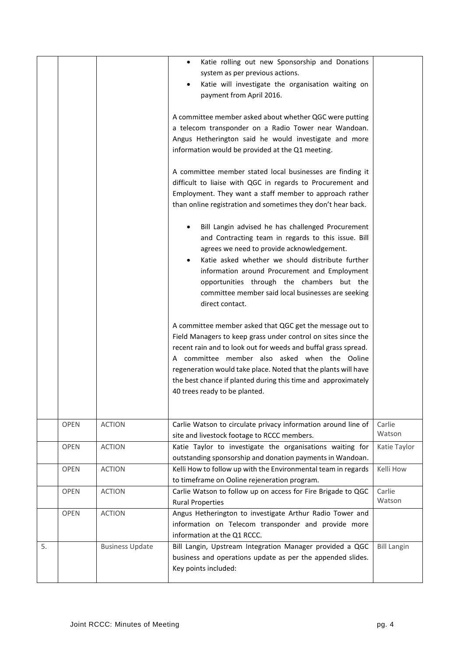|    |             |                        | Katie rolling out new Sponsorship and Donations<br>$\bullet$<br>system as per previous actions.<br>Katie will investigate the organisation waiting on<br>٠<br>payment from April 2016.<br>A committee member asked about whether QGC were putting<br>a telecom transponder on a Radio Tower near Wandoan.<br>Angus Hetherington said he would investigate and more<br>information would be provided at the Q1 meeting.<br>A committee member stated local businesses are finding it<br>difficult to liaise with QGC in regards to Procurement and<br>Employment. They want a staff member to approach rather<br>than online registration and sometimes they don't hear back.<br>Bill Langin advised he has challenged Procurement<br>and Contracting team in regards to this issue. Bill<br>agrees we need to provide acknowledgement.<br>Katie asked whether we should distribute further<br>information around Procurement and Employment<br>opportunities through the chambers but the<br>committee member said local businesses are seeking<br>direct contact.<br>A committee member asked that QGC get the message out to<br>Field Managers to keep grass under control on sites since the<br>recent rain and to look out for weeds and buffal grass spread.<br>A committee member also asked when the Ooline<br>regeneration would take place. Noted that the plants will have<br>the best chance if planted during this time and approximately<br>40 trees ready to be planted. |                    |
|----|-------------|------------------------|----------------------------------------------------------------------------------------------------------------------------------------------------------------------------------------------------------------------------------------------------------------------------------------------------------------------------------------------------------------------------------------------------------------------------------------------------------------------------------------------------------------------------------------------------------------------------------------------------------------------------------------------------------------------------------------------------------------------------------------------------------------------------------------------------------------------------------------------------------------------------------------------------------------------------------------------------------------------------------------------------------------------------------------------------------------------------------------------------------------------------------------------------------------------------------------------------------------------------------------------------------------------------------------------------------------------------------------------------------------------------------------------------------------------------------------------------------------------------------------|--------------------|
|    | <b>OPEN</b> | <b>ACTION</b>          | Carlie Watson to circulate privacy information around line of                                                                                                                                                                                                                                                                                                                                                                                                                                                                                                                                                                                                                                                                                                                                                                                                                                                                                                                                                                                                                                                                                                                                                                                                                                                                                                                                                                                                                          | Carlie<br>Watson   |
|    | <b>OPEN</b> | <b>ACTION</b>          | site and livestock footage to RCCC members.<br>Katie Taylor to investigate the organisations waiting for                                                                                                                                                                                                                                                                                                                                                                                                                                                                                                                                                                                                                                                                                                                                                                                                                                                                                                                                                                                                                                                                                                                                                                                                                                                                                                                                                                               | Katie Taylor       |
|    | <b>OPEN</b> | <b>ACTION</b>          | outstanding sponsorship and donation payments in Wandoan.<br>Kelli How to follow up with the Environmental team in regards<br>to timeframe on Ooline rejeneration program.                                                                                                                                                                                                                                                                                                                                                                                                                                                                                                                                                                                                                                                                                                                                                                                                                                                                                                                                                                                                                                                                                                                                                                                                                                                                                                             | Kelli How          |
|    | <b>OPEN</b> | <b>ACTION</b>          | Carlie Watson to follow up on access for Fire Brigade to QGC<br><b>Rural Properties</b>                                                                                                                                                                                                                                                                                                                                                                                                                                                                                                                                                                                                                                                                                                                                                                                                                                                                                                                                                                                                                                                                                                                                                                                                                                                                                                                                                                                                | Carlie<br>Watson   |
|    | <b>OPEN</b> | <b>ACTION</b>          | Angus Hetherington to investigate Arthur Radio Tower and<br>information on Telecom transponder and provide more<br>information at the Q1 RCCC.                                                                                                                                                                                                                                                                                                                                                                                                                                                                                                                                                                                                                                                                                                                                                                                                                                                                                                                                                                                                                                                                                                                                                                                                                                                                                                                                         |                    |
| 5. |             | <b>Business Update</b> | Bill Langin, Upstream Integration Manager provided a QGC<br>business and operations update as per the appended slides.<br>Key points included:                                                                                                                                                                                                                                                                                                                                                                                                                                                                                                                                                                                                                                                                                                                                                                                                                                                                                                                                                                                                                                                                                                                                                                                                                                                                                                                                         | <b>Bill Langin</b> |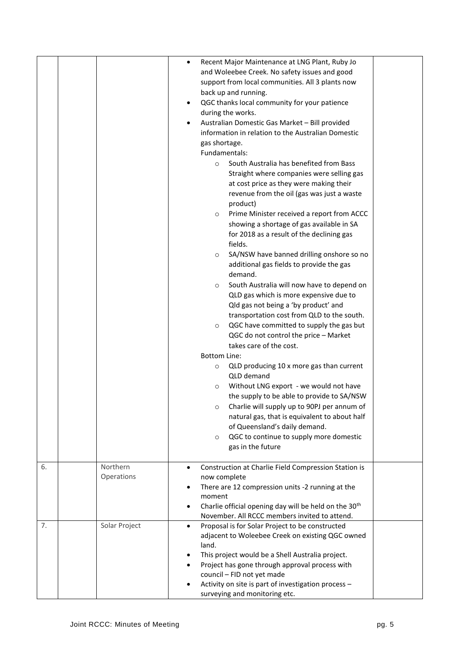|    |                        | Recent Major Maintenance at LNG Plant, Ruby Jo<br>$\bullet$<br>and Woleebee Creek. No safety issues and good<br>support from local communities. All 3 plants now<br>back up and running.<br>QGC thanks local community for your patience<br>٠<br>during the works.<br>Australian Domestic Gas Market - Bill provided<br>$\bullet$<br>information in relation to the Australian Domestic<br>gas shortage.<br>Fundamentals:<br>South Australia has benefited from Bass<br>$\circ$<br>Straight where companies were selling gas<br>at cost price as they were making their<br>revenue from the oil (gas was just a waste<br>product)<br>Prime Minister received a report from ACCC<br>$\circ$<br>showing a shortage of gas available in SA<br>for 2018 as a result of the declining gas<br>fields.<br>SA/NSW have banned drilling onshore so no<br>$\circ$<br>additional gas fields to provide the gas<br>demand.<br>South Australia will now have to depend on<br>$\circ$<br>QLD gas which is more expensive due to<br>Qld gas not being a 'by product' and<br>transportation cost from QLD to the south.<br>QGC have committed to supply the gas but<br>$\circ$<br>QGC do not control the price - Market<br>takes care of the cost.<br><b>Bottom Line:</b> |  |
|----|------------------------|-----------------------------------------------------------------------------------------------------------------------------------------------------------------------------------------------------------------------------------------------------------------------------------------------------------------------------------------------------------------------------------------------------------------------------------------------------------------------------------------------------------------------------------------------------------------------------------------------------------------------------------------------------------------------------------------------------------------------------------------------------------------------------------------------------------------------------------------------------------------------------------------------------------------------------------------------------------------------------------------------------------------------------------------------------------------------------------------------------------------------------------------------------------------------------------------------------------------------------------------------------------|--|
|    |                        | QLD producing 10 x more gas than current<br>$\circ$<br>QLD demand<br>Without LNG export - we would not have<br>$\circ$<br>the supply to be able to provide to SA/NSW<br>Charlie will supply up to 90PJ per annum of<br>$\circ$<br>natural gas, that is equivalent to about half<br>of Queensland's daily demand.                                                                                                                                                                                                                                                                                                                                                                                                                                                                                                                                                                                                                                                                                                                                                                                                                                                                                                                                          |  |
|    |                        | QGC to continue to supply more domestic<br>$\circ$<br>gas in the future                                                                                                                                                                                                                                                                                                                                                                                                                                                                                                                                                                                                                                                                                                                                                                                                                                                                                                                                                                                                                                                                                                                                                                                   |  |
| 6. | Northern<br>Operations | Construction at Charlie Field Compression Station is<br>$\bullet$<br>now complete<br>There are 12 compression units -2 running at the<br>$\bullet$<br>moment<br>Charlie official opening day will be held on the 30 <sup>th</sup><br>$\bullet$<br>November. All RCCC members invited to attend.                                                                                                                                                                                                                                                                                                                                                                                                                                                                                                                                                                                                                                                                                                                                                                                                                                                                                                                                                           |  |
| 7. | Solar Project          | Proposal is for Solar Project to be constructed<br>$\bullet$<br>adjacent to Woleebee Creek on existing QGC owned<br>land.<br>This project would be a Shell Australia project.<br>$\bullet$<br>Project has gone through approval process with<br>council - FID not yet made<br>Activity on site is part of investigation process -<br>٠<br>surveying and monitoring etc.                                                                                                                                                                                                                                                                                                                                                                                                                                                                                                                                                                                                                                                                                                                                                                                                                                                                                   |  |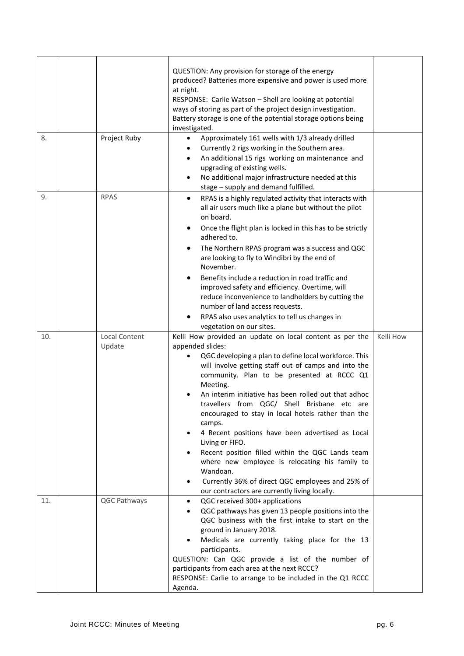| 8.  | Project Ruby                   | QUESTION: Any provision for storage of the energy<br>produced? Batteries more expensive and power is used more<br>at night.<br>RESPONSE: Carlie Watson - Shell are looking at potential<br>ways of storing as part of the project design investigation.<br>Battery storage is one of the potential storage options being<br>investigated.<br>Approximately 161 wells with 1/3 already drilled<br>$\bullet$<br>Currently 2 rigs working in the Southern area.<br>٠                                                                                                                                                                                                                                                                              |           |
|-----|--------------------------------|------------------------------------------------------------------------------------------------------------------------------------------------------------------------------------------------------------------------------------------------------------------------------------------------------------------------------------------------------------------------------------------------------------------------------------------------------------------------------------------------------------------------------------------------------------------------------------------------------------------------------------------------------------------------------------------------------------------------------------------------|-----------|
|     |                                | An additional 15 rigs working on maintenance and<br>$\bullet$<br>upgrading of existing wells.<br>No additional major infrastructure needed at this<br>$\bullet$<br>stage - supply and demand fulfilled.                                                                                                                                                                                                                                                                                                                                                                                                                                                                                                                                        |           |
| 9.  | <b>RPAS</b>                    | RPAS is a highly regulated activity that interacts with<br>$\bullet$<br>all air users much like a plane but without the pilot<br>on board.<br>Once the flight plan is locked in this has to be strictly<br>٠<br>adhered to.<br>The Northern RPAS program was a success and QGC<br>are looking to fly to Windibri by the end of<br>November.<br>Benefits include a reduction in road traffic and<br>improved safety and efficiency. Overtime, will<br>reduce inconvenience to landholders by cutting the<br>number of land access requests.<br>RPAS also uses analytics to tell us changes in<br>vegetation on our sites.                                                                                                                       |           |
| 10. | <b>Local Content</b><br>Update | Kelli How provided an update on local content as per the<br>appended slides:<br>QGC developing a plan to define local workforce. This<br>will involve getting staff out of camps and into the<br>community. Plan to be presented at RCCC Q1<br>Meeting.<br>An interim initiative has been rolled out that adhoc<br>travellers from QGC/ Shell Brisbane etc are<br>encouraged to stay in local hotels rather than the<br>camps.<br>4 Recent positions have been advertised as Local<br>$\bullet$<br>Living or FIFO.<br>Recent position filled within the QGC Lands team<br>where new employee is relocating his family to<br>Wandoan.<br>Currently 36% of direct QGC employees and 25% of<br>٠<br>our contractors are currently living locally. | Kelli How |
| 11. | QGC Pathways                   | QGC received 300+ applications<br>$\bullet$<br>QGC pathways has given 13 people positions into the<br>QGC business with the first intake to start on the<br>ground in January 2018.<br>Medicals are currently taking place for the 13<br>$\bullet$<br>participants.<br>QUESTION: Can QGC provide a list of the number of<br>participants from each area at the next RCCC?<br>RESPONSE: Carlie to arrange to be included in the Q1 RCCC<br>Agenda.                                                                                                                                                                                                                                                                                              |           |